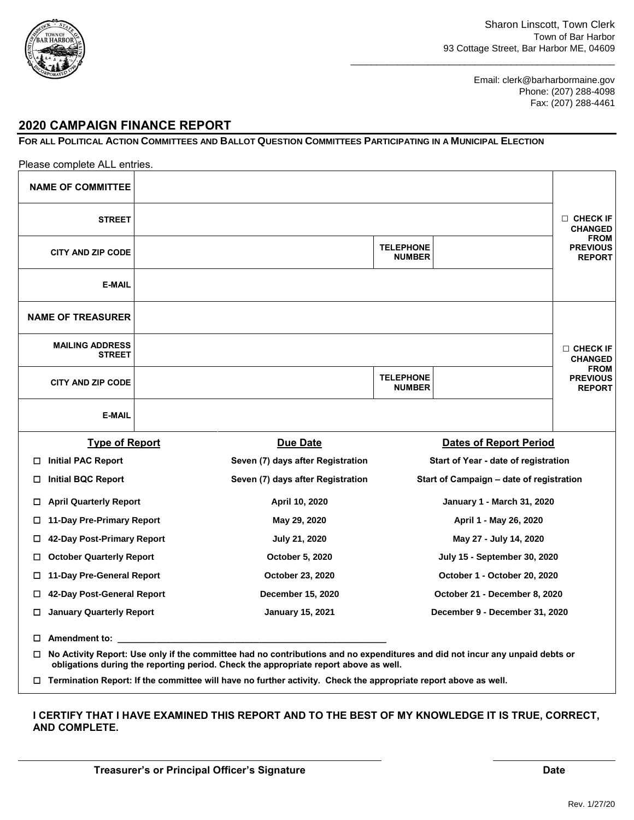

\_\_\_\_\_\_\_\_\_\_\_\_\_\_\_\_\_\_\_\_\_\_\_\_\_\_\_\_\_\_\_\_\_\_\_\_\_\_\_\_\_\_\_\_\_\_\_\_\_\_\_

Email: clerk@barharbormaine.gov Phone: (207) 288-4098 Fax: (207) 288-4461

#### **2020 CAMPAIGN FINANCE REPORT**

#### FOR ALL POLITICAL ACTION COMMITTEES AND BALLOT QUESTION COMMITTEES PARTICIPATING IN A MUNICIPAL ELECTION

|        | Please complete ALL entries.            |                                                                                                                              |                                   |                                          |                                                 |
|--------|-----------------------------------------|------------------------------------------------------------------------------------------------------------------------------|-----------------------------------|------------------------------------------|-------------------------------------------------|
|        | <b>NAME OF COMMITTEE</b>                |                                                                                                                              |                                   |                                          |                                                 |
|        | <b>STREET</b>                           |                                                                                                                              |                                   |                                          | $\Box$ CHECK IF<br><b>CHANGED</b>               |
|        | <b>CITY AND ZIP CODE</b>                |                                                                                                                              | <b>TELEPHONE</b><br><b>NUMBER</b> |                                          | <b>FROM</b><br><b>PREVIOUS</b><br><b>REPORT</b> |
|        | <b>E-MAIL</b>                           |                                                                                                                              |                                   |                                          |                                                 |
|        | <b>NAME OF TREASURER</b>                |                                                                                                                              |                                   |                                          |                                                 |
|        | <b>MAILING ADDRESS</b><br><b>STREET</b> |                                                                                                                              |                                   |                                          | $\Box$ CHECK IF<br><b>CHANGED</b>               |
|        | <b>CITY AND ZIP CODE</b>                |                                                                                                                              | <b>TELEPHONE</b><br><b>NUMBER</b> |                                          | <b>FROM</b><br><b>PREVIOUS</b><br><b>REPORT</b> |
|        | <b>E-MAIL</b>                           |                                                                                                                              |                                   |                                          |                                                 |
|        | <b>Type of Report</b>                   | <b>Due Date</b>                                                                                                              |                                   | <b>Dates of Report Period</b>            |                                                 |
| 0      | <b>Initial PAC Report</b>               | Seven (7) days after Registration                                                                                            |                                   | Start of Year - date of registration     |                                                 |
| □      | <b>Initial BQC Report</b>               | Seven (7) days after Registration                                                                                            |                                   | Start of Campaign – date of registration |                                                 |
| □      | <b>April Quarterly Report</b>           | April 10, 2020                                                                                                               |                                   | <b>January 1 - March 31, 2020</b>        |                                                 |
| □      | 11-Day Pre-Primary Report               | May 29, 2020                                                                                                                 |                                   | April 1 - May 26, 2020                   |                                                 |
| 0      | 42-Day Post-Primary Report              | July 21, 2020                                                                                                                |                                   | May 27 - July 14, 2020                   |                                                 |
| 0      | <b>October Quarterly Report</b>         | October 5, 2020                                                                                                              |                                   | <b>July 15 - September 30, 2020</b>      |                                                 |
|        | □ 11-Day Pre-General Report             | October 23, 2020                                                                                                             |                                   | October 1 - October 20, 2020             |                                                 |
| $\Box$ | 42-Day Post-General Report              | December 15, 2020                                                                                                            |                                   | October 21 - December 8, 2020            |                                                 |
| $\Box$ | <b>January Quarterly Report</b>         | <b>January 15, 2021</b>                                                                                                      |                                   | December 9 - December 31, 2020           |                                                 |
|        | <b>Amendment to:</b>                    |                                                                                                                              |                                   |                                          |                                                 |
| $\Box$ |                                         | No Activity Report: Use only if the committee had no contributions and no expenditures and did not incur any unpaid debts or |                                   |                                          |                                                 |
|        |                                         | obligations during the reporting period. Check the appropriate report above as well.                                         |                                   |                                          |                                                 |

 **Termination Report: If the committee will have no further activity. Check the appropriate report above as well.** 

#### **I CERTIFY THAT I HAVE EXAMINED THIS REPORT AND TO THE BEST OF MY KNOWLEDGE IT IS TRUE, CORRECT, AND COMPLETE.**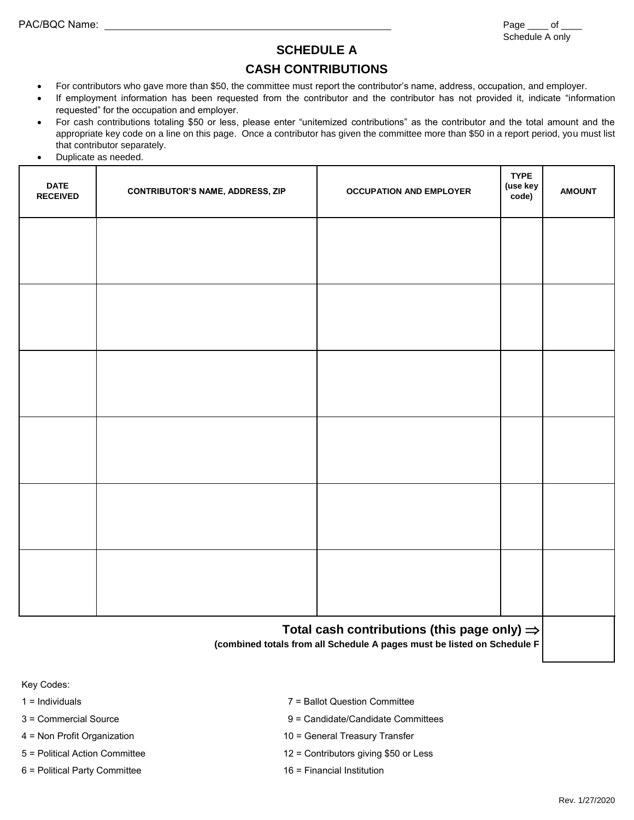## **SCHEDULE A**

#### **CASH CONTRIBUTIONS**

- For contributors who gave more than \$50, the committee must report the contributor's name, address, occupation, and employer.
- If employment information has been requested from the contributor and the contributor has not provided it, indicate "information requested" for the occupation and employer.
- For cash contributions totaling \$50 or less, please enter "unitemized contributions" as the contributor and the total amount and the appropriate key code on a line on this page. Once a contributor has given the committee more than \$50 in a report period, you must list that contributor separately.
- Duplicate as needed.

| <b>DATE</b><br><b>RECEIVED</b> | <b>CONTRIBUTOR'S NAME, ADDRESS, ZIP</b> | <b>OCCUPATION AND EMPLOYER</b>                                                                                                     | <b>TYPE</b><br>(use key<br>code) | <b>AMOUNT</b> |
|--------------------------------|-----------------------------------------|------------------------------------------------------------------------------------------------------------------------------------|----------------------------------|---------------|
|                                |                                         |                                                                                                                                    |                                  |               |
|                                |                                         |                                                                                                                                    |                                  |               |
|                                |                                         |                                                                                                                                    |                                  |               |
|                                |                                         |                                                                                                                                    |                                  |               |
|                                |                                         |                                                                                                                                    |                                  |               |
|                                |                                         |                                                                                                                                    |                                  |               |
|                                |                                         |                                                                                                                                    |                                  |               |
|                                |                                         |                                                                                                                                    |                                  |               |
|                                |                                         |                                                                                                                                    |                                  |               |
|                                |                                         |                                                                                                                                    |                                  |               |
|                                |                                         |                                                                                                                                    |                                  |               |
|                                |                                         |                                                                                                                                    |                                  |               |
|                                |                                         | Total cash contributions (this page only) $\Rightarrow$<br>(combined totals from all Schedule A pages must be listed on Schedule F |                                  |               |

Key Codes:

| 7 = Ballot Question Committee           |
|-----------------------------------------|
| 9 = Candidate/Candidate Committees      |
| 10 = General Treasury Transfer          |
| $12$ = Contributors giving \$50 or Less |
| 16 = Financial Institution              |
|                                         |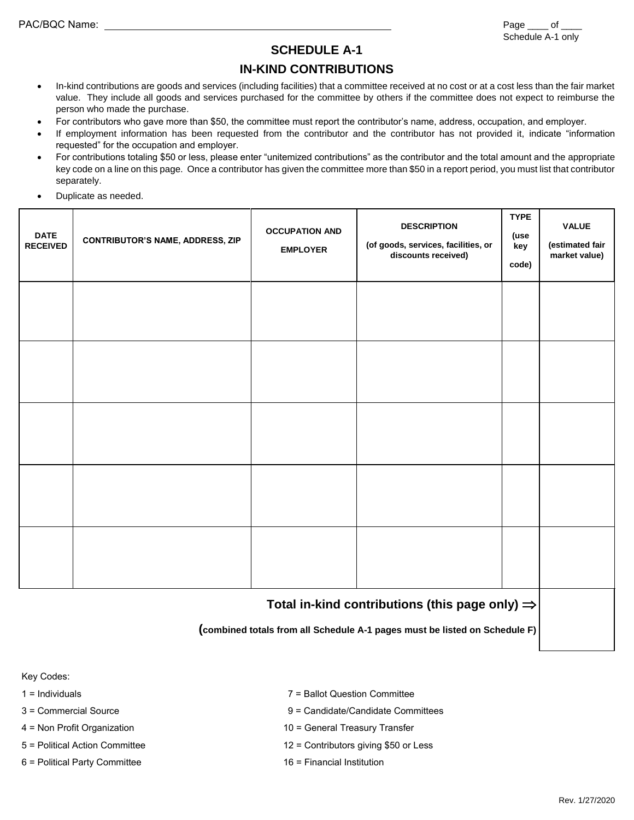### **SCHEDULE A-1**

### **IN-KIND CONTRIBUTIONS**

- In-kind contributions are goods and services (including facilities) that a committee received at no cost or at a cost less than the fair market value. They include all goods and services purchased for the committee by others if the committee does not expect to reimburse the person who made the purchase.
- For contributors who gave more than \$50, the committee must report the contributor's name, address, occupation, and employer.
- If employment information has been requested from the contributor and the contributor has not provided it, indicate "information requested" for the occupation and employer.
- For contributions totaling \$50 or less, please enter "unitemized contributions" as the contributor and the total amount and the appropriate key code on a line on this page. Once a contributor has given the committee more than \$50 in a report period, you must list that contributor separately.
- Duplicate as needed.

| <b>DATE</b><br><b>RECEIVED</b>                             | <b>CONTRIBUTOR'S NAME, ADDRESS, ZIP</b> | <b>OCCUPATION AND</b><br><b>EMPLOYER</b> | <b>DESCRIPTION</b><br>(of goods, services, facilities, or<br>discounts received) | <b>TYPE</b><br>(use<br>key<br>code) | <b>VALUE</b><br>(estimated fair<br>market value) |
|------------------------------------------------------------|-----------------------------------------|------------------------------------------|----------------------------------------------------------------------------------|-------------------------------------|--------------------------------------------------|
|                                                            |                                         |                                          |                                                                                  |                                     |                                                  |
|                                                            |                                         |                                          |                                                                                  |                                     |                                                  |
|                                                            |                                         |                                          |                                                                                  |                                     |                                                  |
|                                                            |                                         |                                          |                                                                                  |                                     |                                                  |
|                                                            |                                         |                                          |                                                                                  |                                     |                                                  |
| Total in-kind contributions (this page only) $\Rightarrow$ |                                         |                                          |                                                                                  |                                     |                                                  |

**(combined totals from all Schedule A-1 pages must be listed on Schedule F)**

Key Codes:

- 
- 
- 
- 
- 6 = Political Party Committee 16 = Financial Institution
- 1 = Individuals 7 = Ballot Question Committee
- 3 = Commercial Source 9 = Candidate/Candidate Committees
- 4 = Non Profit Organization 10 = General Treasury Transfer
- 5 = Political Action Committee 12 = Contributors giving \$50 or Less
	-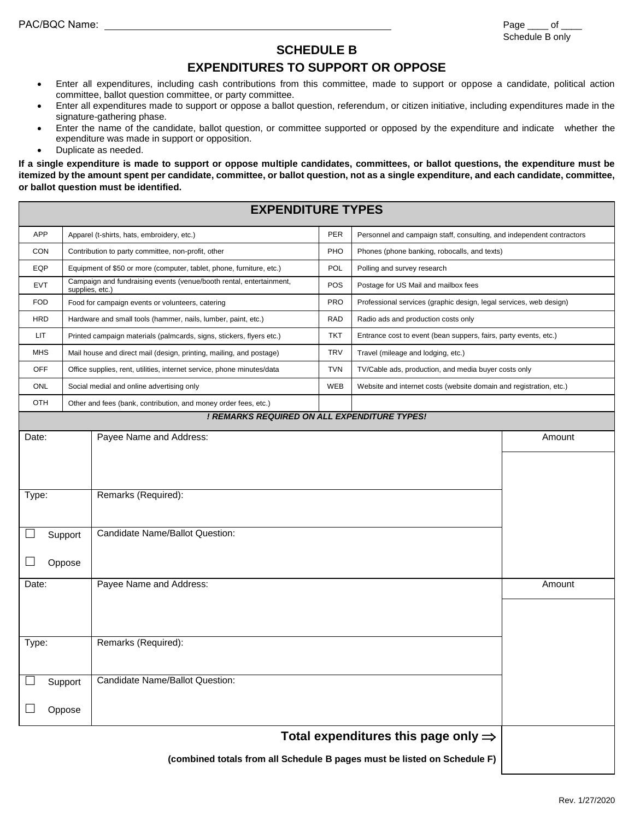#### **SCHEDULE B**

### **EXPENDITURES TO SUPPORT OR OPPOSE**

- Enter all expenditures, including cash contributions from this committee, made to support or oppose a candidate, political action committee, ballot question committee, or party committee.
- Enter all expenditures made to support or oppose a ballot question, referendum, or citizen initiative, including expenditures made in the signature-gathering phase.
- Enter the name of the candidate, ballot question, or committee supported or opposed by the expenditure and indicate whether the expenditure was made in support or opposition.
- Duplicate as needed.

**If a single expenditure is made to support or oppose multiple candidates, committees, or ballot questions, the expenditure must be itemized by the amount spent per candidate, committee, or ballot question, not as a single expenditure, and each candidate, committee, or ballot question must be identified.**

|            |                                                    | <b>EXPENDITURE TYPES</b>                                               |            |                                                                       |        |
|------------|----------------------------------------------------|------------------------------------------------------------------------|------------|-----------------------------------------------------------------------|--------|
| <b>APP</b> |                                                    | Apparel (t-shirts, hats, embroidery, etc.)                             | <b>PER</b> | Personnel and campaign staff, consulting, and independent contractors |        |
| <b>CON</b> | Contribution to party committee, non-profit, other |                                                                        |            | Phones (phone banking, robocalls, and texts)                          |        |
| EQP        |                                                    | Equipment of \$50 or more (computer, tablet, phone, furniture, etc.)   | POL        | Polling and survey research                                           |        |
| EVT        | supplies, etc.)                                    | Campaign and fundraising events (venue/booth rental, entertainment,    | POS        | Postage for US Mail and mailbox fees                                  |        |
| <b>FOD</b> |                                                    | Food for campaign events or volunteers, catering                       | <b>PRO</b> | Professional services (graphic design, legal services, web design)    |        |
| HRD        |                                                    | Hardware and small tools (hammer, nails, lumber, paint, etc.)          | <b>RAD</b> | Radio ads and production costs only                                   |        |
| LIT        |                                                    | Printed campaign materials (palmcards, signs, stickers, flyers etc.)   | <b>TKT</b> | Entrance cost to event (bean suppers, fairs, party events, etc.)      |        |
| <b>MHS</b> |                                                    | Mail house and direct mail (design, printing, mailing, and postage)    | <b>TRV</b> | Travel (mileage and lodging, etc.)                                    |        |
| <b>OFF</b> |                                                    | Office supplies, rent, utilities, internet service, phone minutes/data | <b>TVN</b> | TV/Cable ads, production, and media buyer costs only                  |        |
| <b>ONL</b> |                                                    | Social medial and online advertising only                              | WEB        | Website and internet costs (website domain and registration, etc.)    |        |
| OTH        |                                                    | Other and fees (bank, contribution, and money order fees, etc.)        |            |                                                                       |        |
|            |                                                    | ! REMARKS REQUIRED ON ALL EXPENDITURE TYPES!                           |            |                                                                       |        |
| Date:      |                                                    | Payee Name and Address:                                                |            |                                                                       | Amount |
|            |                                                    |                                                                        |            |                                                                       |        |
|            |                                                    |                                                                        |            |                                                                       |        |
| Type:      |                                                    | Remarks (Required):                                                    |            |                                                                       |        |
|            |                                                    |                                                                        |            |                                                                       |        |
|            |                                                    |                                                                        |            |                                                                       |        |
|            | Support                                            | Candidate Name/Ballot Question:                                        |            |                                                                       |        |
|            | Oppose                                             |                                                                        |            |                                                                       |        |
|            |                                                    |                                                                        |            |                                                                       |        |
| Date:      |                                                    | Payee Name and Address:                                                |            |                                                                       | Amount |
|            |                                                    |                                                                        |            |                                                                       |        |
|            |                                                    |                                                                        |            |                                                                       |        |
| Type:      |                                                    | Remarks (Required):                                                    |            |                                                                       |        |
|            |                                                    |                                                                        |            |                                                                       |        |
|            | Support                                            | Candidate Name/Ballot Question:                                        |            |                                                                       |        |
|            |                                                    |                                                                        |            |                                                                       |        |
|            | Oppose                                             |                                                                        |            |                                                                       |        |
|            |                                                    |                                                                        |            |                                                                       |        |
|            |                                                    |                                                                        |            | Total expenditures this page only $\Rightarrow$                       |        |

**(combined totals from all Schedule B pages must be listed on Schedule F)**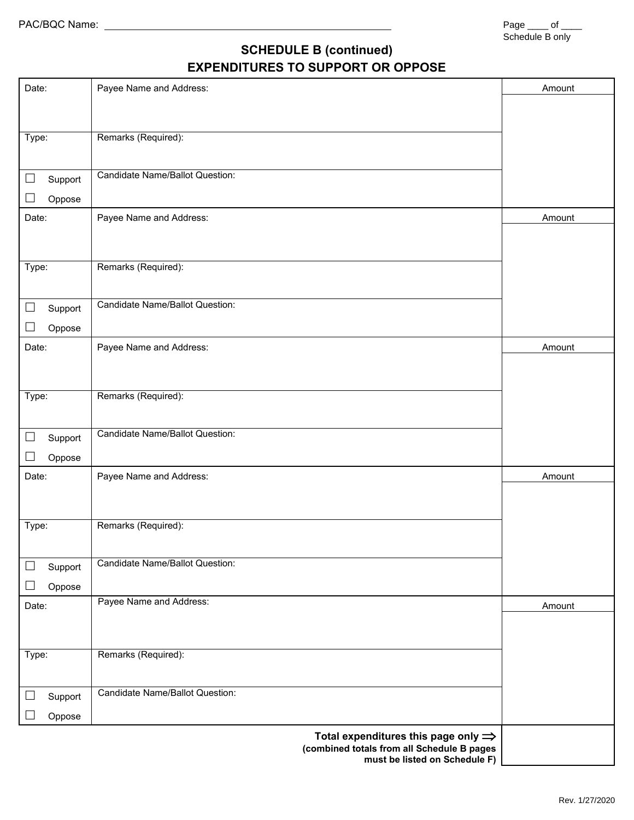## **SCHEDULE B (continued) EXPENDITURES TO SUPPORT OR OPPOSE**

| Date:                  | Payee Name and Address:                                                                       | Amount |
|------------------------|-----------------------------------------------------------------------------------------------|--------|
|                        |                                                                                               |        |
|                        |                                                                                               |        |
| Type:                  | Remarks (Required):                                                                           |        |
|                        |                                                                                               |        |
| $\Box$<br>Support      | <b>Candidate Name/Ballot Question:</b>                                                        |        |
| Oppose                 |                                                                                               |        |
| Date:                  | Payee Name and Address:                                                                       | Amount |
|                        |                                                                                               |        |
|                        |                                                                                               |        |
| Type:                  | Remarks (Required):                                                                           |        |
|                        |                                                                                               |        |
| $\Box$<br>Support      | Candidate Name/Ballot Question:                                                               |        |
| Oppose                 |                                                                                               |        |
| Date:                  | Payee Name and Address:                                                                       | Amount |
|                        |                                                                                               |        |
|                        |                                                                                               |        |
| Type:                  | Remarks (Required):                                                                           |        |
|                        |                                                                                               |        |
| $\Box$<br>Support      | <b>Candidate Name/Ballot Question:</b>                                                        |        |
| $\Box$<br>Oppose       |                                                                                               |        |
| Date:                  | Payee Name and Address:                                                                       | Amount |
|                        |                                                                                               |        |
|                        |                                                                                               |        |
| Type:                  | Remarks (Required):                                                                           |        |
|                        |                                                                                               |        |
| $\Box$<br>Support      | <b>Candidate Name/Ballot Question:</b>                                                        |        |
| $\mathbf{L}$<br>Oppose |                                                                                               |        |
|                        | Payee Name and Address:                                                                       |        |
| Date:                  |                                                                                               | Amount |
|                        |                                                                                               |        |
| Type:                  | Remarks (Required):                                                                           |        |
|                        |                                                                                               |        |
|                        | Candidate Name/Ballot Question:                                                               |        |
| Support                |                                                                                               |        |
| Oppose                 |                                                                                               |        |
|                        | Total expenditures this page only $\Rightarrow$<br>(combined totals from all Schedule B pages |        |
|                        | must be listed on Schedule F)                                                                 |        |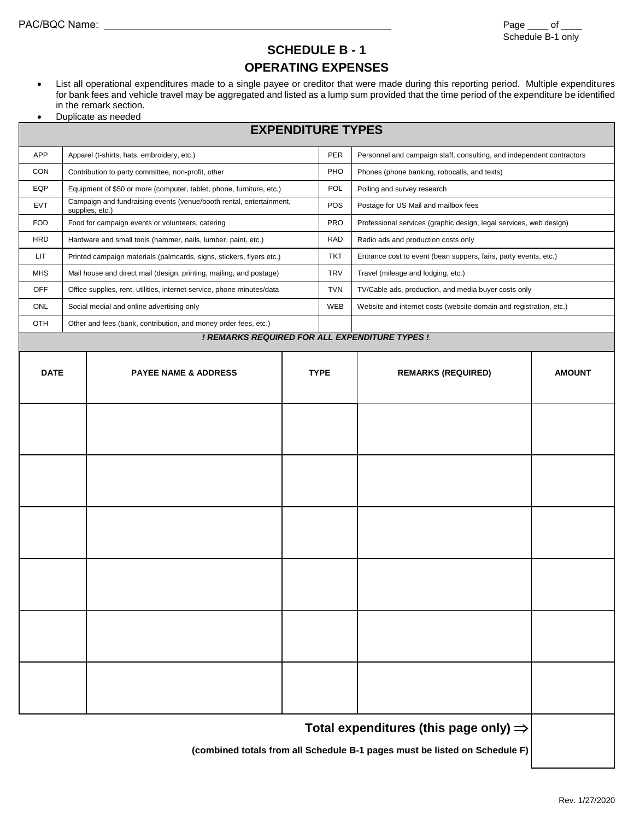### **SCHEDULE B - 1 OPERATING EXPENSES**

- List all operational expenditures made to a single payee or creditor that were made during this reporting period. Multiple expenditures for bank fees and vehicle travel may be aggregated and listed as a lump sum provided that the time period of the expenditure be identified in the remark section.
- Duplicate as needed

#### **EXPENDITURE TYPES**

| <b>APP</b>  |                                                                            | Apparel (t-shirts, hats, embroidery, etc.)                                             |     | PER                         | Personnel and campaign staff, consulting, and independent contractors |               |
|-------------|----------------------------------------------------------------------------|----------------------------------------------------------------------------------------|-----|-----------------------------|-----------------------------------------------------------------------|---------------|
| <b>CON</b>  |                                                                            | Contribution to party committee, non-profit, other                                     |     | PHO                         | Phones (phone banking, robocalls, and texts)                          |               |
| EQP         | Equipment of \$50 or more (computer, tablet, phone, furniture, etc.)       |                                                                                        | POL | Polling and survey research |                                                                       |               |
| <b>EVT</b>  |                                                                            | Campaign and fundraising events (venue/booth rental, entertainment,<br>supplies, etc.) |     | POS                         | Postage for US Mail and mailbox fees                                  |               |
| <b>FOD</b>  |                                                                            | Food for campaign events or volunteers, catering                                       |     | <b>PRO</b>                  | Professional services (graphic design, legal services, web design)    |               |
| <b>HRD</b>  |                                                                            | Hardware and small tools (hammer, nails, lumber, paint, etc.)                          |     | <b>RAD</b>                  | Radio ads and production costs only                                   |               |
| LIT.        |                                                                            | Printed campaign materials (palmcards, signs, stickers, flyers etc.)                   |     | <b>TKT</b>                  | Entrance cost to event (bean suppers, fairs, party events, etc.)      |               |
| <b>MHS</b>  |                                                                            | Mail house and direct mail (design, printing, mailing, and postage)                    |     | <b>TRV</b>                  | Travel (mileage and lodging, etc.)                                    |               |
| <b>OFF</b>  |                                                                            | Office supplies, rent, utilities, internet service, phone minutes/data                 |     | <b>TVN</b>                  | TV/Cable ads, production, and media buyer costs only                  |               |
| ONL         |                                                                            | Social medial and online advertising only                                              |     | WEB                         | Website and internet costs (website domain and registration, etc.)    |               |
| OTH         |                                                                            | Other and fees (bank, contribution, and money order fees, etc.)                        |     |                             |                                                                       |               |
|             |                                                                            |                                                                                        |     |                             | ! REMARKS REQUIRED FOR ALL EXPENDITURE TYPES !.                       |               |
|             |                                                                            |                                                                                        |     |                             |                                                                       |               |
| <b>DATE</b> |                                                                            | <b>PAYEE NAME &amp; ADDRESS</b>                                                        |     | <b>TYPE</b>                 | <b>REMARKS (REQUIRED)</b>                                             | <b>AMOUNT</b> |
|             |                                                                            |                                                                                        |     |                             |                                                                       |               |
|             |                                                                            |                                                                                        |     |                             |                                                                       |               |
|             |                                                                            |                                                                                        |     |                             |                                                                       |               |
|             |                                                                            |                                                                                        |     |                             |                                                                       |               |
|             |                                                                            |                                                                                        |     |                             |                                                                       |               |
|             |                                                                            |                                                                                        |     |                             |                                                                       |               |
|             |                                                                            |                                                                                        |     |                             |                                                                       |               |
|             |                                                                            |                                                                                        |     |                             |                                                                       |               |
|             |                                                                            |                                                                                        |     |                             |                                                                       |               |
|             |                                                                            |                                                                                        |     |                             |                                                                       |               |
|             |                                                                            |                                                                                        |     |                             |                                                                       |               |
|             |                                                                            |                                                                                        |     |                             |                                                                       |               |
|             |                                                                            |                                                                                        |     |                             |                                                                       |               |
|             |                                                                            |                                                                                        |     |                             |                                                                       |               |
|             |                                                                            |                                                                                        |     |                             |                                                                       |               |
|             |                                                                            |                                                                                        |     |                             |                                                                       |               |
|             |                                                                            |                                                                                        |     |                             |                                                                       |               |
|             |                                                                            |                                                                                        |     |                             |                                                                       |               |
|             |                                                                            |                                                                                        |     |                             |                                                                       |               |
|             |                                                                            |                                                                                        |     |                             |                                                                       |               |
|             |                                                                            |                                                                                        |     |                             |                                                                       |               |
|             |                                                                            |                                                                                        |     |                             | Total expenditures (this page only) $\Rightarrow$                     |               |
|             | (combined totals from all Schedule B-1 pages must be listed on Schedule F) |                                                                                        |     |                             |                                                                       |               |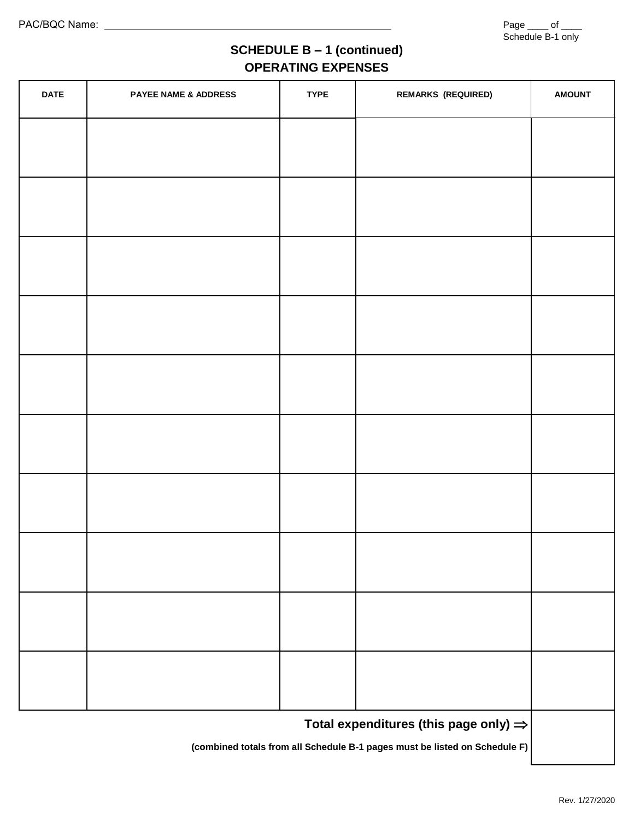## **SCHEDULE B – 1 (continued) OPERATING EXPENSES**

| <b>DATE</b>                                                                | <b>PAYEE NAME &amp; ADDRESS</b> | <b>TYPE</b> | <b>REMARKS (REQUIRED)</b>                         | <b>AMOUNT</b> |
|----------------------------------------------------------------------------|---------------------------------|-------------|---------------------------------------------------|---------------|
|                                                                            |                                 |             |                                                   |               |
|                                                                            |                                 |             |                                                   |               |
|                                                                            |                                 |             |                                                   |               |
|                                                                            |                                 |             |                                                   |               |
|                                                                            |                                 |             |                                                   |               |
|                                                                            |                                 |             |                                                   |               |
|                                                                            |                                 |             |                                                   |               |
|                                                                            |                                 |             |                                                   |               |
|                                                                            |                                 |             |                                                   |               |
|                                                                            |                                 |             |                                                   |               |
|                                                                            |                                 |             |                                                   |               |
|                                                                            |                                 |             |                                                   |               |
|                                                                            |                                 |             |                                                   |               |
|                                                                            |                                 |             |                                                   |               |
|                                                                            |                                 |             |                                                   |               |
|                                                                            |                                 |             |                                                   |               |
|                                                                            |                                 |             | Total expenditures (this page only) $\Rightarrow$ |               |
| (combined totals from all Schedule B-1 pages must be listed on Schedule F) |                                 |             |                                                   |               |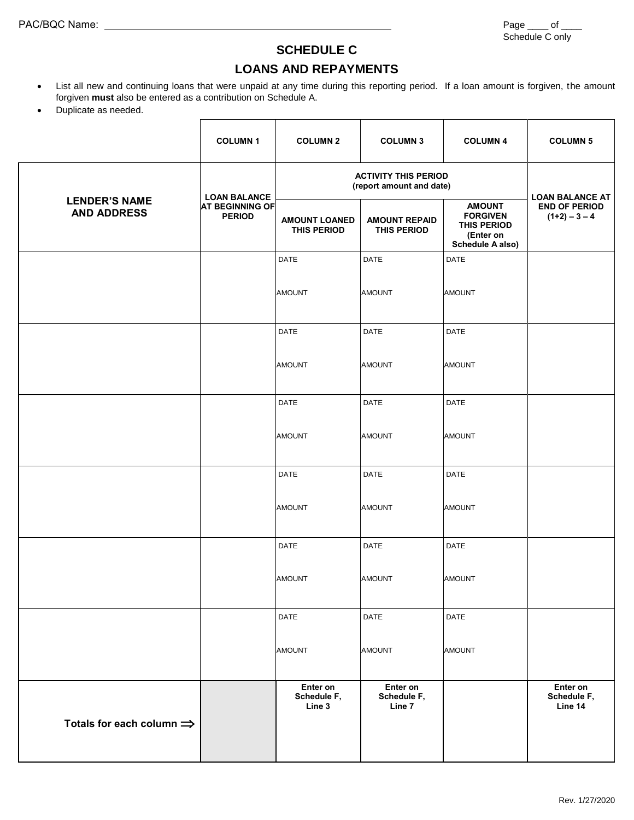## **SCHEDULE C**

### **LOANS AND REPAYMENTS**

- List all new and continuing loans that were unpaid at any time during this reporting period. If a loan amount is forgiven, the amount forgiven **must** also be entered as a contribution on Schedule A.
- Duplicate as needed.

|                                            | <b>COLUMN1</b>                          | <b>COLUMN 2</b>                                         | <b>COLUMN 3</b>                            | <b>COLUMN 4</b>                                                                  | <b>COLUMN 5</b>                         |
|--------------------------------------------|-----------------------------------------|---------------------------------------------------------|--------------------------------------------|----------------------------------------------------------------------------------|-----------------------------------------|
|                                            | <b>LOAN BALANCE</b>                     | <b>ACTIVITY THIS PERIOD</b><br>(report amount and date) | <b>LOAN BALANCE AT</b>                     |                                                                                  |                                         |
| <b>LENDER'S NAME</b><br><b>AND ADDRESS</b> | <b>AT BEGINNING OF</b><br><b>PERIOD</b> | <b>AMOUNT LOANED</b><br><b>THIS PERIOD</b>              | <b>AMOUNT REPAID</b><br><b>THIS PERIOD</b> | <b>AMOUNT</b><br><b>FORGIVEN</b><br>THIS PERIOD<br>(Enter on<br>Schedule A also) | <b>END OF PERIOD</b><br>$(1+2) - 3 - 4$ |
|                                            |                                         | <b>DATE</b>                                             | <b>DATE</b>                                | DATE                                                                             |                                         |
|                                            |                                         | <b>AMOUNT</b>                                           | <b>AMOUNT</b>                              | <b>AMOUNT</b>                                                                    |                                         |
|                                            |                                         | DATE                                                    | DATE                                       | <b>DATE</b>                                                                      |                                         |
|                                            |                                         | <b>AMOUNT</b>                                           | <b>AMOUNT</b>                              | <b>AMOUNT</b>                                                                    |                                         |
|                                            |                                         | <b>DATE</b>                                             | DATE                                       | <b>DATE</b>                                                                      |                                         |
|                                            |                                         | <b>AMOUNT</b>                                           | <b>AMOUNT</b>                              | <b>AMOUNT</b>                                                                    |                                         |
|                                            |                                         | <b>DATE</b>                                             | DATE                                       | <b>DATE</b>                                                                      |                                         |
|                                            |                                         | <b>AMOUNT</b>                                           | <b>AMOUNT</b>                              | <b>AMOUNT</b>                                                                    |                                         |
|                                            |                                         | DATE                                                    | DATE                                       | DATE                                                                             |                                         |
|                                            |                                         | <b>AMOUNT</b>                                           | <b>AMOUNT</b>                              | <b>AMOUNT</b>                                                                    |                                         |
|                                            |                                         | <b>DATE</b>                                             | DATE                                       | DATE                                                                             |                                         |
|                                            |                                         | <b>AMOUNT</b>                                           | <b>AMOUNT</b>                              | <b>AMOUNT</b>                                                                    |                                         |
| Totals for each column $\Rightarrow$       |                                         | Enter on<br>Schedule F,<br>Line 3                       | Enter on<br>Schedule F,<br>Line 7          |                                                                                  | Enter on<br>Schedule F,<br>Line 14      |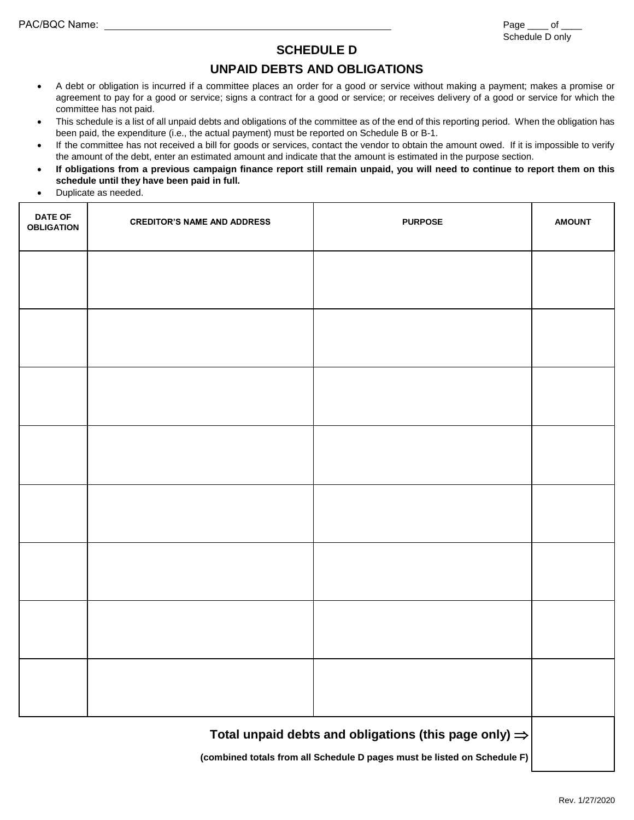#### **SCHEDULE D**

### **UNPAID DEBTS AND OBLIGATIONS**

- A debt or obligation is incurred if a committee places an order for a good or service without making a payment; makes a promise or agreement to pay for a good or service; signs a contract for a good or service; or receives delivery of a good or service for which the committee has not paid.
- This schedule is a list of all unpaid debts and obligations of the committee as of the end of this reporting period. When the obligation has been paid, the expenditure (i.e., the actual payment) must be reported on Schedule B or B-1.
- If the committee has not received a bill for goods or services, contact the vendor to obtain the amount owed. If it is impossible to verify the amount of the debt, enter an estimated amount and indicate that the amount is estimated in the purpose section.
- **If obligations from a previous campaign finance report still remain unpaid, you will need to continue to report them on this schedule until they have been paid in full.**
- Duplicate as needed.

| <b>DATE OF</b><br><b>OBLIGATION</b>                               | <b>CREDITOR'S NAME AND ADDRESS</b>                                       | <b>PURPOSE</b> | <b>AMOUNT</b> |  |  |
|-------------------------------------------------------------------|--------------------------------------------------------------------------|----------------|---------------|--|--|
|                                                                   |                                                                          |                |               |  |  |
|                                                                   |                                                                          |                |               |  |  |
|                                                                   |                                                                          |                |               |  |  |
|                                                                   |                                                                          |                |               |  |  |
|                                                                   |                                                                          |                |               |  |  |
|                                                                   |                                                                          |                |               |  |  |
|                                                                   |                                                                          |                |               |  |  |
|                                                                   |                                                                          |                |               |  |  |
|                                                                   |                                                                          |                |               |  |  |
|                                                                   |                                                                          |                |               |  |  |
| Total unpaid debts and obligations (this page only) $\Rightarrow$ |                                                                          |                |               |  |  |
|                                                                   | (combined totals from all Schedule D pages must be listed on Schedule F) |                |               |  |  |